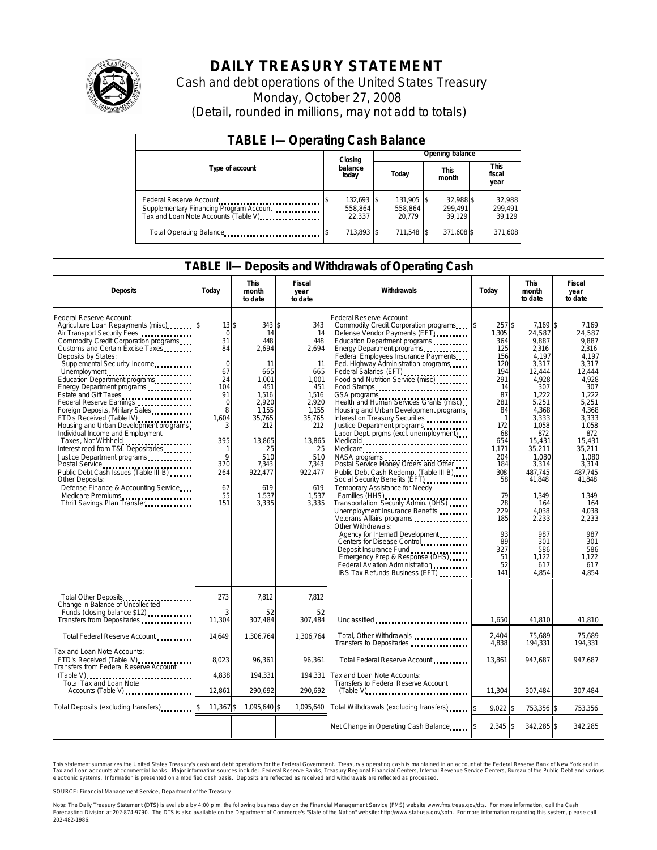

# **DAILY TREASURY STATEMENT**

Cash and debt operations of the United States Treasury Monday, October 27, 2008 (Detail, rounded in millions, may not add to totals)

| <b>TABLE I-Operating Cash Balance</b>                                                                      |                                 |                                 |                                |                               |  |  |  |
|------------------------------------------------------------------------------------------------------------|---------------------------------|---------------------------------|--------------------------------|-------------------------------|--|--|--|
|                                                                                                            | Closing                         | Opening balance                 |                                |                               |  |  |  |
| Type of account                                                                                            | balance<br>today                | Today                           | This<br>month                  | <b>This</b><br>fiscal<br>year |  |  |  |
| Federal Reserve Account<br>Supplementary Financing Program Account<br>Tax and Loan Note Accounts (Table V) | 132,693 \$<br>558.864<br>22.337 | 131,905 \$<br>558.864<br>20.779 | 32,988 \$<br>299.491<br>39.129 | 32,988<br>299,491<br>39,129   |  |  |  |
| Total Operating Balance                                                                                    | 713,893 \$                      | 711,548 \$                      | 371,608 \$                     | 371,608                       |  |  |  |

### **TABLE II—Deposits and Withdrawals of Operating Cash**

| <b>Deposits</b>                                                                                                                                                                                                                                                                                                                                                                                                                                                                                                                                                                                                                                                                                                                                                                       | Todav                                                                                                                                                           | <b>This</b><br>month<br>to date                                                                                                                                             | Fiscal<br>year<br>to date                                                                                                                                              | Withdrawals                                                                                                                                                                                                                                                                                                                                                                                                                                                                                                                                                                                                                                                                                                                                                                                                                                                                                                                                                                                                                                                                                            | Todav                                                                                                                                                                                                     | <b>This</b><br>month<br>to date                                                                                                                                                                                                                                                   | Fiscal<br>year<br>to date                                                                                                                                                                                                                                                    |
|---------------------------------------------------------------------------------------------------------------------------------------------------------------------------------------------------------------------------------------------------------------------------------------------------------------------------------------------------------------------------------------------------------------------------------------------------------------------------------------------------------------------------------------------------------------------------------------------------------------------------------------------------------------------------------------------------------------------------------------------------------------------------------------|-----------------------------------------------------------------------------------------------------------------------------------------------------------------|-----------------------------------------------------------------------------------------------------------------------------------------------------------------------------|------------------------------------------------------------------------------------------------------------------------------------------------------------------------|--------------------------------------------------------------------------------------------------------------------------------------------------------------------------------------------------------------------------------------------------------------------------------------------------------------------------------------------------------------------------------------------------------------------------------------------------------------------------------------------------------------------------------------------------------------------------------------------------------------------------------------------------------------------------------------------------------------------------------------------------------------------------------------------------------------------------------------------------------------------------------------------------------------------------------------------------------------------------------------------------------------------------------------------------------------------------------------------------------|-----------------------------------------------------------------------------------------------------------------------------------------------------------------------------------------------------------|-----------------------------------------------------------------------------------------------------------------------------------------------------------------------------------------------------------------------------------------------------------------------------------|------------------------------------------------------------------------------------------------------------------------------------------------------------------------------------------------------------------------------------------------------------------------------|
| Federal Reserve Account:<br>Agriculture Loan Repayments (misc) \$<br>Air Transport Security Fees<br>Commodity Credit Corporation programs<br>Customs and Certain Excise Taxes<br>Deposits by States:<br>Supplemental Sec urity Income<br>Unemployment<br>Education Department programs<br>Energy Department programs<br>Estate and Gift Taxes<br>Federal Reserve Earnings<br>Foreign Deposits, Military Sales<br>FTD's Received (Table IV)<br>Housing and Urban Development programs<br>Individual Income and Employment<br>Taxes, Not Withheld<br>Interest recd from T&L Depositaries<br>Justice Department programs<br>Public Debt Cash Issues (Table III-B)<br><b>Other Deposits:</b><br>Defense Finance & Accounting Service<br>Medicare Premiums<br>Thrift Savings Plan Transfer | 13\$<br>$\Omega$<br>31<br>84<br>$\overline{0}$<br>67<br>24<br>104<br>91<br>$\Omega$<br>8<br>1.604<br>395<br>-1<br>$\mathsf{Q}$<br>370<br>264<br>67<br>55<br>151 | $343$ \$<br>14<br>448<br>2,694<br>11<br>665<br>1.001<br>451<br>1,516<br>2,920<br>1,155<br>35.765<br>212<br>13.865<br>25<br>510<br>7,343<br>922,477<br>619<br>1,537<br>3,335 | 343<br>14<br>448<br>2,694<br>11<br>665<br>1,001<br>451<br>1,516<br>2,920<br>1,155<br>35,765<br>212<br>13,865<br>25<br>510<br>7,343<br>922,477<br>619<br>1,537<br>3,335 | Federal Reserve Account:<br>Commodity Credit Corporation programs<br>Defense Vendor Payments (EFT)<br>Education Department programs<br>Energy Department programs<br>Federal Employees Insurance Payments<br>Fed. Highway Administration programs<br>Federal Salaries (EFT)<br>Food and Nutrition Service (misc)<br>Food Stamps<br>GSA programs<br>Health and Human Services Grants (misc)<br>Housing and Urban Development programs<br>Interest on Treasury Securities<br>Justice Department programs<br>Labor Dept. prgms (excl. unemployment)<br>Medicaid<br>Medicare<br>NASA programs<br>Postal Service Money Orders and Other<br>Public Debt Cash Redemp. (Table III-B)<br>Social Security Benefits (EFT)<br>Temporary Assistance for Needy<br>Families (HHS)<br>Transportation Security Admin. (DHS)<br>Unemployment Insurance Benefits<br>Veterans Affairs programs<br>Other Withdrawals:<br>Agency for Internat'l Development<br>Centers for Disease Control<br>Deposit Insurance Fund<br>Emergency Prep & Response (DHS)<br>Federal Aviation Administration<br>IRS Tax Refunds Business (EFT) | 257\$<br>1.305<br>364<br>125<br>156<br>120<br>194<br>291<br>14<br>87<br>281<br>84<br>172<br>68<br>654<br>1.171<br>204<br>184<br>308<br>58<br>79<br>28<br>229<br>185<br>93<br>89<br>327<br>51<br>52<br>141 | $7.169$ \$<br>24.587<br>9,887<br>2,316<br>4.197<br>3,317<br>12,444<br>4.928<br>307<br>1,222<br>5,251<br>4,368<br>3,333<br>1,058<br>872<br>15,431<br>35,211<br>1,080<br>3,314<br>487.745<br>41,848<br>1,349<br>164<br>4,038<br>2,233<br>987<br>301<br>586<br>1,122<br>617<br>4,854 | 7,169<br>24.587<br>9.887<br>2.316<br>4.197<br>3,317<br>12,444<br>4.928<br>307<br>1,222<br>5,251<br>4,368<br>3.333<br>1,058<br>872<br>15.431<br>35,211<br>1.080<br>3,314<br>487.745<br>41.848<br>1,349<br>164<br>4,038<br>2.233<br>987<br>301<br>586<br>1.122<br>617<br>4,854 |
| Total Other Deposits<br>Change in Balance of Uncollected                                                                                                                                                                                                                                                                                                                                                                                                                                                                                                                                                                                                                                                                                                                              | 273                                                                                                                                                             | 7.812                                                                                                                                                                       | 7.812                                                                                                                                                                  |                                                                                                                                                                                                                                                                                                                                                                                                                                                                                                                                                                                                                                                                                                                                                                                                                                                                                                                                                                                                                                                                                                        |                                                                                                                                                                                                           |                                                                                                                                                                                                                                                                                   |                                                                                                                                                                                                                                                                              |
| Funds (closing balance \$12)<br>Transfers from Depositaries                                                                                                                                                                                                                                                                                                                                                                                                                                                                                                                                                                                                                                                                                                                           | 3<br>11.304                                                                                                                                                     | 52<br>307,484                                                                                                                                                               | 52<br>307,484                                                                                                                                                          | Unclassified                                                                                                                                                                                                                                                                                                                                                                                                                                                                                                                                                                                                                                                                                                                                                                                                                                                                                                                                                                                                                                                                                           | 1.650                                                                                                                                                                                                     | 41,810                                                                                                                                                                                                                                                                            | 41,810                                                                                                                                                                                                                                                                       |
| Total Federal Reserve Account                                                                                                                                                                                                                                                                                                                                                                                                                                                                                                                                                                                                                                                                                                                                                         | 14,649                                                                                                                                                          | 1,306,764                                                                                                                                                                   | 1,306,764                                                                                                                                                              | Total, Other Withdrawals<br>Transfers to Depositaries <b>container</b>                                                                                                                                                                                                                                                                                                                                                                                                                                                                                                                                                                                                                                                                                                                                                                                                                                                                                                                                                                                                                                 | 2.404<br>4,838                                                                                                                                                                                            | 75,689<br>194,331                                                                                                                                                                                                                                                                 | 75,689<br>194,331                                                                                                                                                                                                                                                            |
| Tax and Loan Note Accounts:<br>FTD's Received (Table IV)<br>Transfers from Federal Reserve Account                                                                                                                                                                                                                                                                                                                                                                                                                                                                                                                                                                                                                                                                                    | 8,023<br>4,838                                                                                                                                                  | 96,361<br>194,331                                                                                                                                                           | 96,361<br>194,331                                                                                                                                                      | Total Federal Reserve Account<br>Tax and Loan Note Accounts:                                                                                                                                                                                                                                                                                                                                                                                                                                                                                                                                                                                                                                                                                                                                                                                                                                                                                                                                                                                                                                           | 13,861                                                                                                                                                                                                    | 947,687                                                                                                                                                                                                                                                                           | 947,687                                                                                                                                                                                                                                                                      |
| $(Table V)$<br>Total Tax and Loan Note<br>Accounts (Table V) <b>Accounts</b> (Table V)                                                                                                                                                                                                                                                                                                                                                                                                                                                                                                                                                                                                                                                                                                | 12,861                                                                                                                                                          | 290,692                                                                                                                                                                     | 290,692                                                                                                                                                                | Transfers to Federal Reserve Account<br>$(Table V)$                                                                                                                                                                                                                                                                                                                                                                                                                                                                                                                                                                                                                                                                                                                                                                                                                                                                                                                                                                                                                                                    | 11,304                                                                                                                                                                                                    | 307,484                                                                                                                                                                                                                                                                           | 307,484                                                                                                                                                                                                                                                                      |
| Total Deposits (excluding transfers)                                                                                                                                                                                                                                                                                                                                                                                                                                                                                                                                                                                                                                                                                                                                                  | 11,367\$<br><b>S</b>                                                                                                                                            | 1,095,640 \$                                                                                                                                                                | 1,095,640                                                                                                                                                              | Total Withdrawals (excluding transfers)                                                                                                                                                                                                                                                                                                                                                                                                                                                                                                                                                                                                                                                                                                                                                                                                                                                                                                                                                                                                                                                                | $9,022$ \$                                                                                                                                                                                                | 753,356 \$                                                                                                                                                                                                                                                                        | 753,356                                                                                                                                                                                                                                                                      |
|                                                                                                                                                                                                                                                                                                                                                                                                                                                                                                                                                                                                                                                                                                                                                                                       |                                                                                                                                                                 |                                                                                                                                                                             |                                                                                                                                                                        | Net Change in Operating Cash Balance                                                                                                                                                                                                                                                                                                                                                                                                                                                                                                                                                                                                                                                                                                                                                                                                                                                                                                                                                                                                                                                                   | $2,345$ \$                                                                                                                                                                                                | 342,285 \$                                                                                                                                                                                                                                                                        | 342,285                                                                                                                                                                                                                                                                      |

This statement summarizes the United States Treasury's cash and debt operations for the Federal Government. Treasury's operating cash is maintained in an account at the Federal Reserve Bank of New York and in<br>Tax and Loan electronic systems. Information is presented on a modified cash basis. Deposits are reflected as received and withdrawals are reflected as processed.

SOURCE: Financial Management Service, Department of the Treasury

Note: The Daily Treasury Statement (DTS) is available by 4:00 p.m. the following business day on the Financial Management Service (FMS) website www.fms.treas.gov/dts. For more information, call the Cash Forecasting Division at 202-874-9790. The DTS is also available on the Department of Commerce's "State of the Nation" website: http://www.stat-usa.gov/sotn. For more information regarding this system, please call<br>202-482-1